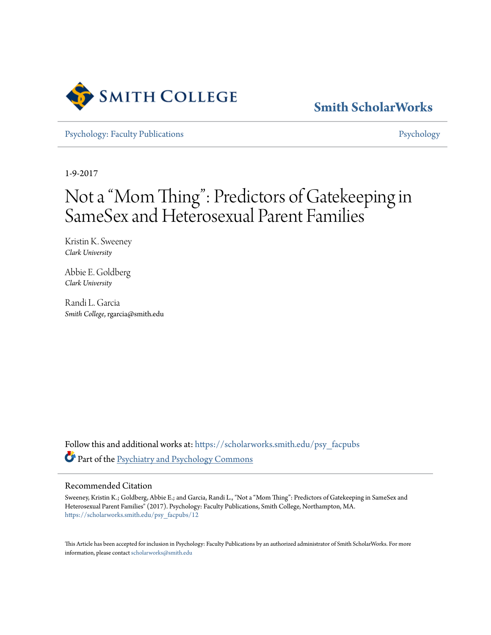

# **[Smith ScholarWorks](https://scholarworks.smith.edu?utm_source=scholarworks.smith.edu%2Fpsy_facpubs%2F12&utm_medium=PDF&utm_campaign=PDFCoverPages)**

[Psychology: Faculty Publications](https://scholarworks.smith.edu/psy_facpubs?utm_source=scholarworks.smith.edu%2Fpsy_facpubs%2F12&utm_medium=PDF&utm_campaign=PDFCoverPages) **[Psychology](https://scholarworks.smith.edu/psy?utm_source=scholarworks.smith.edu%2Fpsy_facpubs%2F12&utm_medium=PDF&utm_campaign=PDFCoverPages)** 

1-9-2017

# Not a "Mom Thing": Predictors of Gatekeeping in SameSex and Heterosexual Parent Families

Kristin K. Sweeney *Clark University*

Abbie E. Goldberg *Clark University*

Randi L. Garcia *Smith College*, rgarcia@smith.edu

Follow this and additional works at: [https://scholarworks.smith.edu/psy\\_facpubs](https://scholarworks.smith.edu/psy_facpubs?utm_source=scholarworks.smith.edu%2Fpsy_facpubs%2F12&utm_medium=PDF&utm_campaign=PDFCoverPages) Part of the [Psychiatry and Psychology Commons](http://network.bepress.com/hgg/discipline/908?utm_source=scholarworks.smith.edu%2Fpsy_facpubs%2F12&utm_medium=PDF&utm_campaign=PDFCoverPages)

# Recommended Citation

Sweeney, Kristin K.; Goldberg, Abbie E.; and Garcia, Randi L., "Not a "Mom Thing": Predictors of Gatekeeping in SameSex and Heterosexual Parent Families" (2017). Psychology: Faculty Publications, Smith College, Northampton, MA. [https://scholarworks.smith.edu/psy\\_facpubs/12](https://scholarworks.smith.edu/psy_facpubs/12?utm_source=scholarworks.smith.edu%2Fpsy_facpubs%2F12&utm_medium=PDF&utm_campaign=PDFCoverPages)

This Article has been accepted for inclusion in Psychology: Faculty Publications by an authorized administrator of Smith ScholarWorks. For more information, please contact [scholarworks@smith.edu](mailto:scholarworks@smith.edu)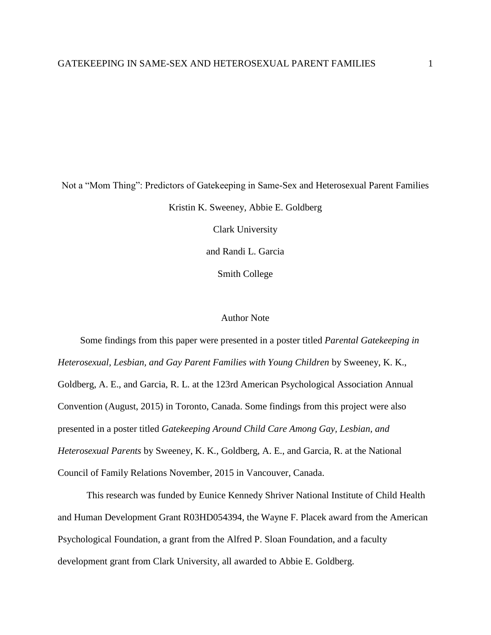Not a "Mom Thing": Predictors of Gatekeeping in Same-Sex and Heterosexual Parent Families Kristin K. Sweeney, Abbie E. Goldberg Clark University and Randi L. Garcia

Smith College

# Author Note

Some findings from this paper were presented in a poster titled *Parental Gatekeeping in Heterosexual, Lesbian, and Gay Parent Families with Young Children* by Sweeney, K. K., Goldberg, A. E., and Garcia, R. L. at the 123rd American Psychological Association Annual Convention (August, 2015) in Toronto, Canada. Some findings from this project were also presented in a poster titled *Gatekeeping Around Child Care Among Gay, Lesbian, and Heterosexual Parents* by Sweeney, K. K., Goldberg, A. E., and Garcia, R. at the National Council of Family Relations November, 2015 in Vancouver, Canada.

This research was funded by Eunice Kennedy Shriver National Institute of Child Health and Human Development Grant R03HD054394, the Wayne F. Placek award from the American Psychological Foundation, a grant from the Alfred P. Sloan Foundation, and a faculty development grant from Clark University, all awarded to Abbie E. Goldberg.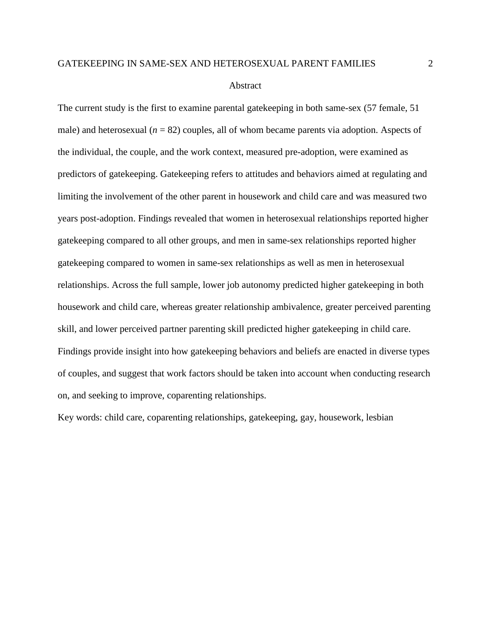#### Abstract

The current study is the first to examine parental gatekeeping in both same-sex (57 female, 51 male) and heterosexual  $(n = 82)$  couples, all of whom became parents via adoption. Aspects of the individual, the couple, and the work context, measured pre-adoption, were examined as predictors of gatekeeping. Gatekeeping refers to attitudes and behaviors aimed at regulating and limiting the involvement of the other parent in housework and child care and was measured two years post-adoption. Findings revealed that women in heterosexual relationships reported higher gatekeeping compared to all other groups, and men in same-sex relationships reported higher gatekeeping compared to women in same-sex relationships as well as men in heterosexual relationships. Across the full sample, lower job autonomy predicted higher gatekeeping in both housework and child care, whereas greater relationship ambivalence, greater perceived parenting skill, and lower perceived partner parenting skill predicted higher gatekeeping in child care. Findings provide insight into how gatekeeping behaviors and beliefs are enacted in diverse types of couples, and suggest that work factors should be taken into account when conducting research on, and seeking to improve, coparenting relationships.

Key words: child care, coparenting relationships, gatekeeping, gay, housework, lesbian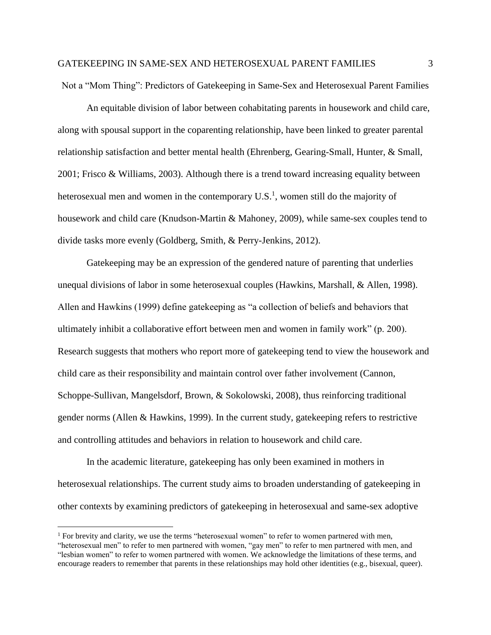Not a "Mom Thing": Predictors of Gatekeeping in Same-Sex and Heterosexual Parent Families

An equitable division of labor between cohabitating parents in housework and child care, along with spousal support in the coparenting relationship, have been linked to greater parental relationship satisfaction and better mental health (Ehrenberg, Gearing-Small, Hunter, & Small, 2001; Frisco & Williams, 2003). Although there is a trend toward increasing equality between heterosexual men and women in the contemporary  $U.S.^1$ , women still do the majority of housework and child care (Knudson-Martin & Mahoney, 2009), while same-sex couples tend to divide tasks more evenly (Goldberg, Smith, & Perry-Jenkins, 2012).

Gatekeeping may be an expression of the gendered nature of parenting that underlies unequal divisions of labor in some heterosexual couples (Hawkins, Marshall, & Allen, 1998). Allen and Hawkins (1999) define gatekeeping as "a collection of beliefs and behaviors that ultimately inhibit a collaborative effort between men and women in family work" (p. 200). Research suggests that mothers who report more of gatekeeping tend to view the housework and child care as their responsibility and maintain control over father involvement (Cannon, Schoppe-Sullivan, Mangelsdorf, Brown, & Sokolowski, 2008), thus reinforcing traditional gender norms (Allen & Hawkins, 1999). In the current study, gatekeeping refers to restrictive and controlling attitudes and behaviors in relation to housework and child care.

In the academic literature, gatekeeping has only been examined in mothers in heterosexual relationships. The current study aims to broaden understanding of gatekeeping in other contexts by examining predictors of gatekeeping in heterosexual and same-sex adoptive

 $\overline{a}$ 

<sup>&</sup>lt;sup>1</sup> For brevity and clarity, we use the terms "heterosexual women" to refer to women partnered with men, "heterosexual men" to refer to men partnered with women, "gay men" to refer to men partnered with men, and "lesbian women" to refer to women partnered with women. We acknowledge the limitations of these terms, and encourage readers to remember that parents in these relationships may hold other identities (e.g., bisexual, queer).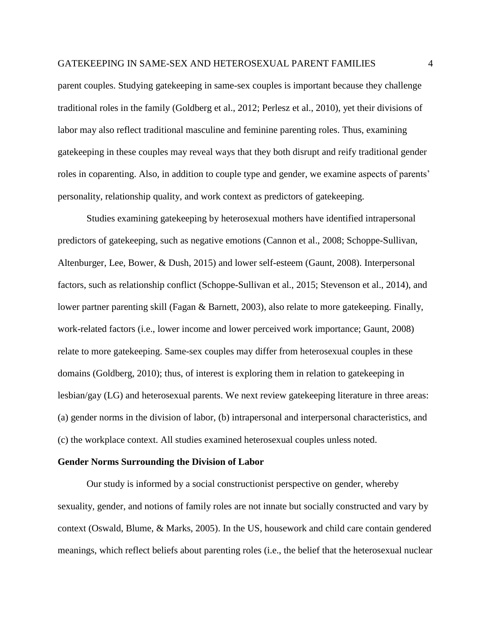parent couples. Studying gatekeeping in same-sex couples is important because they challenge traditional roles in the family (Goldberg et al., 2012; Perlesz et al., 2010), yet their divisions of labor may also reflect traditional masculine and feminine parenting roles. Thus, examining gatekeeping in these couples may reveal ways that they both disrupt and reify traditional gender roles in coparenting. Also, in addition to couple type and gender, we examine aspects of parents' personality, relationship quality, and work context as predictors of gatekeeping.

Studies examining gatekeeping by heterosexual mothers have identified intrapersonal predictors of gatekeeping, such as negative emotions (Cannon et al., 2008; Schoppe-Sullivan, Altenburger, Lee, Bower, & Dush, 2015) and lower self-esteem (Gaunt, 2008). Interpersonal factors, such as relationship conflict (Schoppe-Sullivan et al., 2015; Stevenson et al., 2014), and lower partner parenting skill (Fagan & Barnett, 2003), also relate to more gatekeeping. Finally, work-related factors (i.e., lower income and lower perceived work importance; Gaunt, 2008) relate to more gatekeeping. Same-sex couples may differ from heterosexual couples in these domains (Goldberg, 2010); thus, of interest is exploring them in relation to gatekeeping in lesbian/gay (LG) and heterosexual parents. We next review gatekeeping literature in three areas: (a) gender norms in the division of labor, (b) intrapersonal and interpersonal characteristics, and (c) the workplace context. All studies examined heterosexual couples unless noted.

#### **Gender Norms Surrounding the Division of Labor**

Our study is informed by a social constructionist perspective on gender, whereby sexuality, gender, and notions of family roles are not innate but socially constructed and vary by context (Oswald, Blume, & Marks, 2005). In the US, housework and child care contain gendered meanings, which reflect beliefs about parenting roles (i.e., the belief that the heterosexual nuclear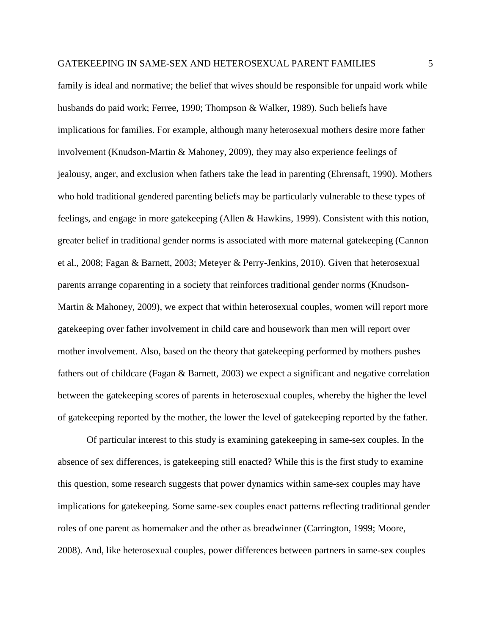family is ideal and normative; the belief that wives should be responsible for unpaid work while husbands do paid work; Ferree, 1990; Thompson & Walker, 1989). Such beliefs have implications for families. For example, although many heterosexual mothers desire more father involvement (Knudson-Martin & Mahoney, 2009), they may also experience feelings of jealousy, anger, and exclusion when fathers take the lead in parenting (Ehrensaft, 1990). Mothers who hold traditional gendered parenting beliefs may be particularly vulnerable to these types of feelings, and engage in more gatekeeping (Allen & Hawkins, 1999). Consistent with this notion, greater belief in traditional gender norms is associated with more maternal gatekeeping (Cannon et al., 2008; Fagan & Barnett, 2003; Meteyer & Perry-Jenkins, 2010). Given that heterosexual parents arrange coparenting in a society that reinforces traditional gender norms (Knudson-Martin & Mahoney, 2009), we expect that within heterosexual couples, women will report more gatekeeping over father involvement in child care and housework than men will report over mother involvement. Also, based on the theory that gatekeeping performed by mothers pushes fathers out of childcare (Fagan & Barnett, 2003) we expect a significant and negative correlation between the gatekeeping scores of parents in heterosexual couples, whereby the higher the level of gatekeeping reported by the mother, the lower the level of gatekeeping reported by the father.

Of particular interest to this study is examining gatekeeping in same-sex couples. In the absence of sex differences, is gatekeeping still enacted? While this is the first study to examine this question, some research suggests that power dynamics within same-sex couples may have implications for gatekeeping. Some same-sex couples enact patterns reflecting traditional gender roles of one parent as homemaker and the other as breadwinner (Carrington, 1999; Moore, 2008). And, like heterosexual couples, power differences between partners in same-sex couples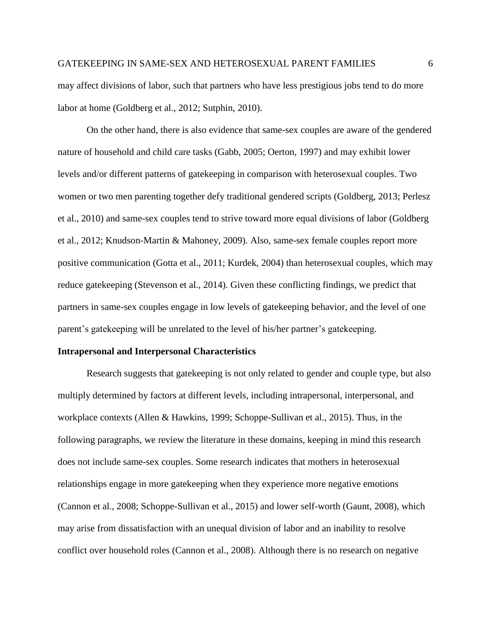may affect divisions of labor, such that partners who have less prestigious jobs tend to do more labor at home (Goldberg et al., 2012; Sutphin, 2010).

On the other hand, there is also evidence that same-sex couples are aware of the gendered nature of household and child care tasks (Gabb, 2005; Oerton, 1997) and may exhibit lower levels and/or different patterns of gatekeeping in comparison with heterosexual couples. Two women or two men parenting together defy traditional gendered scripts (Goldberg, 2013; Perlesz et al., 2010) and same-sex couples tend to strive toward more equal divisions of labor (Goldberg et al., 2012; Knudson-Martin & Mahoney, 2009). Also, same-sex female couples report more positive communication (Gotta et al., 2011; Kurdek, 2004) than heterosexual couples, which may reduce gatekeeping (Stevenson et al., 2014). Given these conflicting findings, we predict that partners in same-sex couples engage in low levels of gatekeeping behavior, and the level of one parent's gatekeeping will be unrelated to the level of his/her partner's gatekeeping.

#### **Intrapersonal and Interpersonal Characteristics**

Research suggests that gatekeeping is not only related to gender and couple type, but also multiply determined by factors at different levels, including intrapersonal, interpersonal, and workplace contexts (Allen & Hawkins, 1999; Schoppe-Sullivan et al., 2015). Thus, in the following paragraphs, we review the literature in these domains, keeping in mind this research does not include same-sex couples. Some research indicates that mothers in heterosexual relationships engage in more gatekeeping when they experience more negative emotions (Cannon et al., 2008; Schoppe-Sullivan et al., 2015) and lower self-worth (Gaunt, 2008), which may arise from dissatisfaction with an unequal division of labor and an inability to resolve conflict over household roles (Cannon et al., 2008). Although there is no research on negative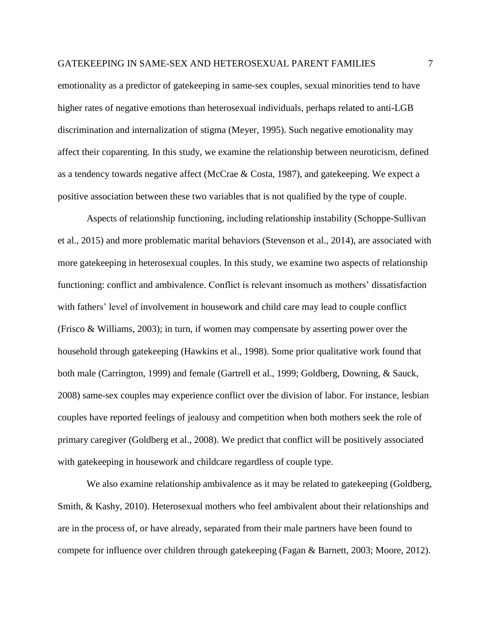emotionality as a predictor of gatekeeping in same-sex couples, sexual minorities tend to have higher rates of negative emotions than heterosexual individuals, perhaps related to anti-LGB discrimination and internalization of stigma (Meyer, 1995). Such negative emotionality may affect their coparenting. In this study, we examine the relationship between neuroticism, defined as a tendency towards negative affect (McCrae & Costa, 1987), and gatekeeping. We expect a positive association between these two variables that is not qualified by the type of couple.

Aspects of relationship functioning, including relationship instability (Schoppe-Sullivan et al., 2015) and more problematic marital behaviors (Stevenson et al., 2014), are associated with more gatekeeping in heterosexual couples. In this study, we examine two aspects of relationship functioning: conflict and ambivalence. Conflict is relevant insomuch as mothers' dissatisfaction with fathers' level of involvement in housework and child care may lead to couple conflict (Frisco & Williams, 2003); in turn, if women may compensate by asserting power over the household through gatekeeping (Hawkins et al., 1998). Some prior qualitative work found that both male (Carrington, 1999) and female (Gartrell et al., 1999; Goldberg, Downing, & Sauck, 2008) same-sex couples may experience conflict over the division of labor. For instance, lesbian couples have reported feelings of jealousy and competition when both mothers seek the role of primary caregiver (Goldberg et al., 2008). We predict that conflict will be positively associated with gatekeeping in housework and childcare regardless of couple type.

We also examine relationship ambivalence as it may be related to gatekeeping (Goldberg, Smith, & Kashy, 2010). Heterosexual mothers who feel ambivalent about their relationships and are in the process of, or have already, separated from their male partners have been found to compete for influence over children through gatekeeping (Fagan & Barnett, 2003; Moore, 2012).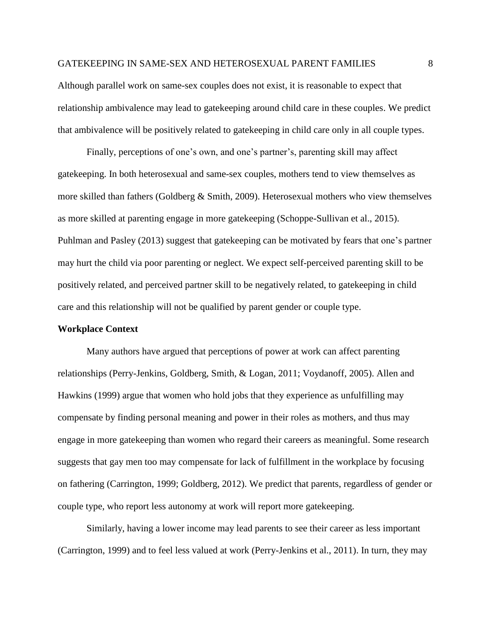Although parallel work on same-sex couples does not exist, it is reasonable to expect that relationship ambivalence may lead to gatekeeping around child care in these couples. We predict that ambivalence will be positively related to gatekeeping in child care only in all couple types.

Finally, perceptions of one's own, and one's partner's, parenting skill may affect gatekeeping. In both heterosexual and same-sex couples, mothers tend to view themselves as more skilled than fathers (Goldberg & Smith, 2009). Heterosexual mothers who view themselves as more skilled at parenting engage in more gatekeeping (Schoppe-Sullivan et al., 2015). Puhlman and Pasley (2013) suggest that gatekeeping can be motivated by fears that one's partner may hurt the child via poor parenting or neglect. We expect self-perceived parenting skill to be positively related, and perceived partner skill to be negatively related, to gatekeeping in child care and this relationship will not be qualified by parent gender or couple type.

# **Workplace Context**

Many authors have argued that perceptions of power at work can affect parenting relationships (Perry-Jenkins, Goldberg, Smith, & Logan, 2011; Voydanoff, 2005). Allen and Hawkins (1999) argue that women who hold jobs that they experience as unfulfilling may compensate by finding personal meaning and power in their roles as mothers, and thus may engage in more gatekeeping than women who regard their careers as meaningful. Some research suggests that gay men too may compensate for lack of fulfillment in the workplace by focusing on fathering (Carrington, 1999; Goldberg, 2012). We predict that parents, regardless of gender or couple type, who report less autonomy at work will report more gatekeeping.

Similarly, having a lower income may lead parents to see their career as less important (Carrington, 1999) and to feel less valued at work (Perry-Jenkins et al., 2011). In turn, they may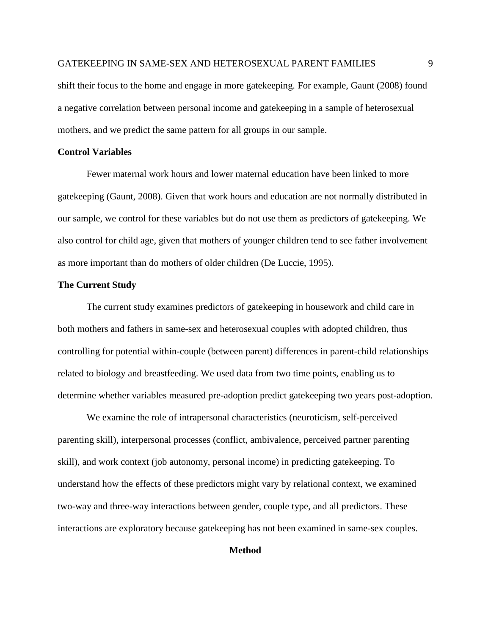shift their focus to the home and engage in more gatekeeping. For example, Gaunt (2008) found a negative correlation between personal income and gatekeeping in a sample of heterosexual mothers, and we predict the same pattern for all groups in our sample.

# **Control Variables**

Fewer maternal work hours and lower maternal education have been linked to more gatekeeping (Gaunt, 2008). Given that work hours and education are not normally distributed in our sample, we control for these variables but do not use them as predictors of gatekeeping. We also control for child age, given that mothers of younger children tend to see father involvement as more important than do mothers of older children (De Luccie, 1995).

# **The Current Study**

The current study examines predictors of gatekeeping in housework and child care in both mothers and fathers in same-sex and heterosexual couples with adopted children, thus controlling for potential within-couple (between parent) differences in parent-child relationships related to biology and breastfeeding. We used data from two time points, enabling us to determine whether variables measured pre-adoption predict gatekeeping two years post-adoption.

We examine the role of intrapersonal characteristics (neuroticism, self-perceived parenting skill), interpersonal processes (conflict, ambivalence, perceived partner parenting skill), and work context (job autonomy, personal income) in predicting gatekeeping. To understand how the effects of these predictors might vary by relational context, we examined two-way and three-way interactions between gender, couple type, and all predictors. These interactions are exploratory because gatekeeping has not been examined in same-sex couples.

# **Method**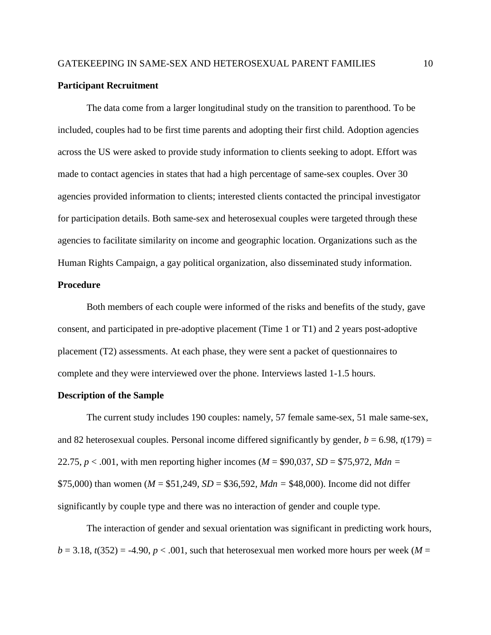# **Participant Recruitment**

The data come from a larger longitudinal study on the transition to parenthood. To be included, couples had to be first time parents and adopting their first child. Adoption agencies across the US were asked to provide study information to clients seeking to adopt. Effort was made to contact agencies in states that had a high percentage of same-sex couples. Over 30 agencies provided information to clients; interested clients contacted the principal investigator for participation details. Both same-sex and heterosexual couples were targeted through these agencies to facilitate similarity on income and geographic location. Organizations such as the Human Rights Campaign, a gay political organization, also disseminated study information.

# **Procedure**

Both members of each couple were informed of the risks and benefits of the study, gave consent, and participated in pre-adoptive placement (Time 1 or T1) and 2 years post-adoptive placement (T2) assessments. At each phase, they were sent a packet of questionnaires to complete and they were interviewed over the phone. Interviews lasted 1-1.5 hours.

# **Description of the Sample**

The current study includes 190 couples: namely, 57 female same-sex, 51 male same-sex, and 82 heterosexual couples. Personal income differed significantly by gender,  $b = 6.98$ ,  $t(179) =$ 22.75, *p* < .001, with men reporting higher incomes (*M* = \$90,037, *SD* = \$75,972, *Mdn =*  \$75,000) than women (*M* = \$51,249, *SD* = \$36,592, *Mdn =* \$48,000). Income did not differ significantly by couple type and there was no interaction of gender and couple type.

The interaction of gender and sexual orientation was significant in predicting work hours,  $b = 3.18$ ,  $t(352) = -4.90$ ,  $p < .001$ , such that heterosexual men worked more hours per week (*M* =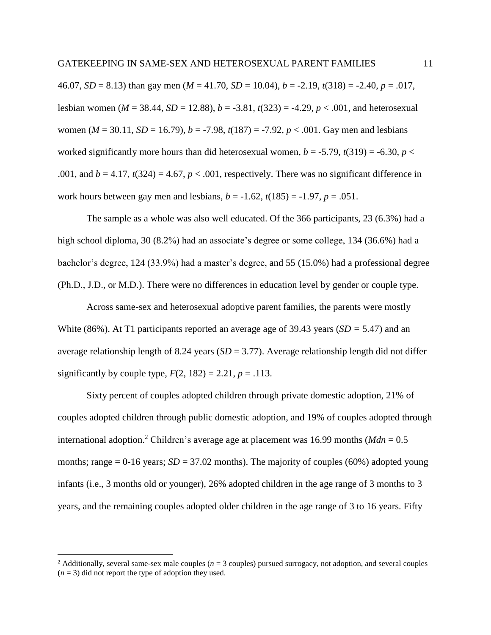46.07, *SD* = 8.13) than gay men (*M* = 41.70, *SD* = 10.04), *b* = -2.19, *t*(318) = -2.40, *p* = .017, lesbian women ( $M = 38.44$ ,  $SD = 12.88$ ),  $b = -3.81$ ,  $t(323) = -4.29$ ,  $p < .001$ , and heterosexual women ( $M = 30.11$ ,  $SD = 16.79$ ),  $b = -7.98$ ,  $t(187) = -7.92$ ,  $p < .001$ . Gay men and lesbians worked significantly more hours than did heterosexual women,  $b = -5.79$ ,  $t(319) = -6.30$ ,  $p <$ .001, and  $b = 4.17$ ,  $t(324) = 4.67$ ,  $p < .001$ , respectively. There was no significant difference in work hours between gay men and lesbians,  $b = -1.62$ ,  $t(185) = -1.97$ ,  $p = .051$ .

The sample as a whole was also well educated. Of the 366 participants, 23 (6.3%) had a high school diploma, 30 (8.2%) had an associate's degree or some college, 134 (36.6%) had a bachelor's degree, 124 (33.9%) had a master's degree, and 55 (15.0%) had a professional degree (Ph.D., J.D., or M.D.). There were no differences in education level by gender or couple type.

Across same-sex and heterosexual adoptive parent families, the parents were mostly White (86%). At T1 participants reported an average age of 39.43 years (*SD =* 5.47) and an average relationship length of 8.24 years (*SD* = 3.77). Average relationship length did not differ significantly by couple type,  $F(2, 182) = 2.21$ ,  $p = .113$ .

Sixty percent of couples adopted children through private domestic adoption, 21% of couples adopted children through public domestic adoption, and 19% of couples adopted through international adoption.<sup>2</sup> Children's average age at placement was 16.99 months ( $Mdn = 0.5$ ) months; range  $= 0.16$  years;  $SD = 37.02$  months). The majority of couples (60%) adopted young infants (i.e., 3 months old or younger), 26% adopted children in the age range of 3 months to 3 years, and the remaining couples adopted older children in the age range of 3 to 16 years. Fifty

 $\overline{a}$ 

<sup>&</sup>lt;sup>2</sup> Additionally, several same-sex male couples ( $n = 3$  couples) pursued surrogacy, not adoption, and several couples  $(n = 3)$  did not report the type of adoption they used.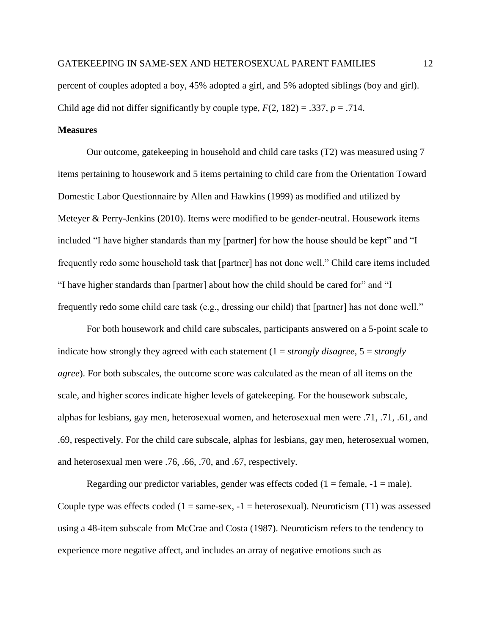percent of couples adopted a boy, 45% adopted a girl, and 5% adopted siblings (boy and girl). Child age did not differ significantly by couple type,  $F(2, 182) = .337$ ,  $p = .714$ .

# **Measures**

Our outcome, gatekeeping in household and child care tasks (T2) was measured using 7 items pertaining to housework and 5 items pertaining to child care from the Orientation Toward Domestic Labor Questionnaire by Allen and Hawkins (1999) as modified and utilized by Meteyer & Perry-Jenkins (2010). Items were modified to be gender-neutral. Housework items included "I have higher standards than my [partner] for how the house should be kept" and "I frequently redo some household task that [partner] has not done well." Child care items included "I have higher standards than [partner] about how the child should be cared for" and "I frequently redo some child care task (e.g., dressing our child) that [partner] has not done well."

For both housework and child care subscales, participants answered on a 5-point scale to indicate how strongly they agreed with each statement  $(1 = strongly \, disagree, 5 = strongly)$ *agree*). For both subscales, the outcome score was calculated as the mean of all items on the scale, and higher scores indicate higher levels of gatekeeping. For the housework subscale, alphas for lesbians, gay men, heterosexual women, and heterosexual men were .71, .71, .61, and .69, respectively. For the child care subscale, alphas for lesbians, gay men, heterosexual women, and heterosexual men were .76, .66, .70, and .67, respectively.

Regarding our predictor variables, gender was effects coded  $(1 = \text{female}, -1 = \text{male})$ . Couple type was effects coded ( $1 = same$ -sex,  $-1 = heterosexual$ ). Neuroticism (T1) was assessed using a 48-item subscale from McCrae and Costa (1987). Neuroticism refers to the tendency to experience more negative affect, and includes an array of negative emotions such as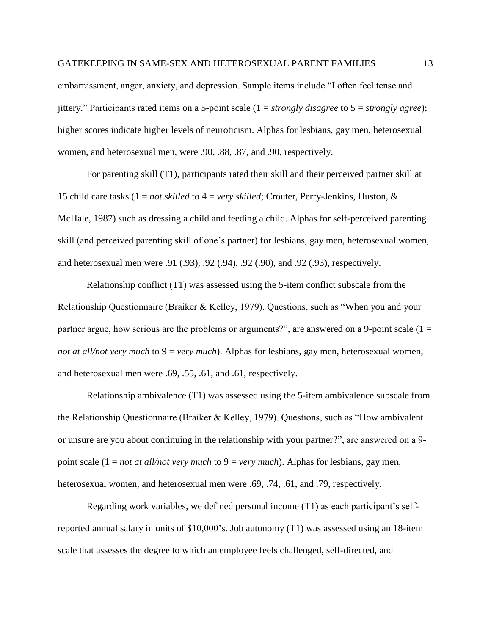embarrassment, anger, anxiety, and depression. Sample items include "I often feel tense and jittery." Participants rated items on a 5-point scale (1 = *strongly disagree* to 5 = *strongly agree*); higher scores indicate higher levels of neuroticism. Alphas for lesbians, gay men, heterosexual women, and heterosexual men, were .90, .88, .87, and .90, respectively.

For parenting skill (T1), participants rated their skill and their perceived partner skill at 15 child care tasks (1 = *not skilled* to 4 = *very skilled*; Crouter, Perry-Jenkins, Huston, & McHale, 1987) such as dressing a child and feeding a child. Alphas for self-perceived parenting skill (and perceived parenting skill of one's partner) for lesbians, gay men, heterosexual women, and heterosexual men were .91 (.93), .92 (.94), .92 (.90), and .92 (.93), respectively.

Relationship conflict (T1) was assessed using the 5-item conflict subscale from the Relationship Questionnaire (Braiker & Kelley, 1979). Questions, such as "When you and your partner argue, how serious are the problems or arguments?", are answered on a 9-point scale  $(1 =$ *not at all/not very much* to 9 = *very much*). Alphas for lesbians, gay men, heterosexual women, and heterosexual men were .69, .55, .61, and .61, respectively.

Relationship ambivalence (T1) was assessed using the 5-item ambivalence subscale from the Relationship Questionnaire (Braiker & Kelley, 1979). Questions, such as "How ambivalent or unsure are you about continuing in the relationship with your partner?", are answered on a 9 point scale (1 = *not at all/not very much* to 9 = *very much*). Alphas for lesbians, gay men, heterosexual women, and heterosexual men were .69, .74, .61, and .79, respectively.

Regarding work variables, we defined personal income (T1) as each participant's selfreported annual salary in units of \$10,000's. Job autonomy (T1) was assessed using an 18-item scale that assesses the degree to which an employee feels challenged, self-directed, and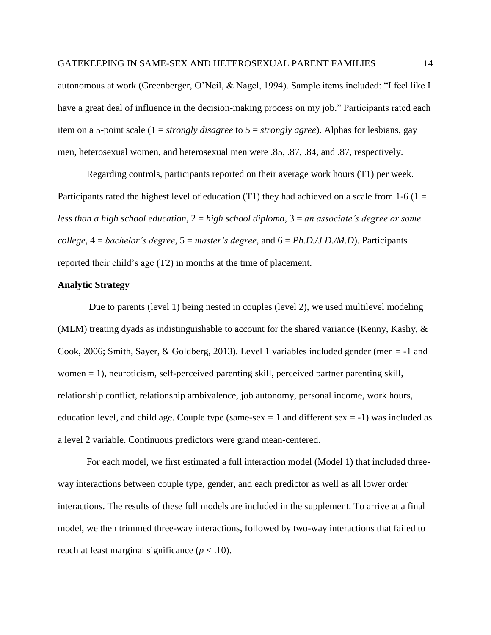autonomous at work (Greenberger, O'Neil, & Nagel, 1994). Sample items included: "I feel like I have a great deal of influence in the decision-making process on my job." Participants rated each item on a 5-point scale (1 = *strongly disagree* to 5 = *strongly agree*). Alphas for lesbians, gay men, heterosexual women, and heterosexual men were .85, .87, .84, and .87, respectively.

Regarding controls, participants reported on their average work hours (T1) per week. Participants rated the highest level of education (T1) they had achieved on a scale from 1-6 (1 = *less than a high school education*, 2 = *high school diploma*, 3 = *an associate's degree or some college*, 4 = *bachelor's degree*, 5 = *master's degree*, and 6 = *Ph.D./J.D./M.D*). Participants reported their child's age (T2) in months at the time of placement.

# **Analytic Strategy**

Due to parents (level 1) being nested in couples (level 2), we used multilevel modeling (MLM) treating dyads as indistinguishable to account for the shared variance (Kenny, Kashy, & Cook, 2006; Smith, Sayer, & Goldberg, 2013). Level 1 variables included gender (men = -1 and women = 1), neuroticism, self-perceived parenting skill, perceived partner parenting skill, relationship conflict, relationship ambivalence, job autonomy, personal income, work hours, education level, and child age. Couple type (same-sex  $= 1$  and different sex  $= -1$ ) was included as a level 2 variable. Continuous predictors were grand mean-centered.

For each model, we first estimated a full interaction model (Model 1) that included threeway interactions between couple type, gender, and each predictor as well as all lower order interactions. The results of these full models are included in the supplement. To arrive at a final model, we then trimmed three-way interactions, followed by two-way interactions that failed to reach at least marginal significance  $(p < .10)$ .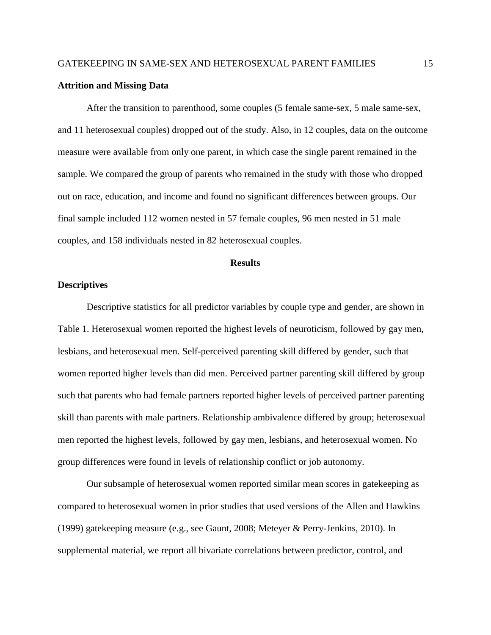# **Attrition and Missing Data**

After the transition to parenthood, some couples (5 female same-sex, 5 male same-sex, and 11 heterosexual couples) dropped out of the study. Also, in 12 couples, data on the outcome measure were available from only one parent, in which case the single parent remained in the sample. We compared the group of parents who remained in the study with those who dropped out on race, education, and income and found no significant differences between groups. Our final sample included 112 women nested in 57 female couples, 96 men nested in 51 male couples, and 158 individuals nested in 82 heterosexual couples.

## **Results**

# **Descriptives**

Descriptive statistics for all predictor variables by couple type and gender, are shown in Table 1. Heterosexual women reported the highest levels of neuroticism, followed by gay men, lesbians, and heterosexual men. Self-perceived parenting skill differed by gender, such that women reported higher levels than did men. Perceived partner parenting skill differed by group such that parents who had female partners reported higher levels of perceived partner parenting skill than parents with male partners. Relationship ambivalence differed by group; heterosexual men reported the highest levels, followed by gay men, lesbians, and heterosexual women. No group differences were found in levels of relationship conflict or job autonomy.

Our subsample of heterosexual women reported similar mean scores in gatekeeping as compared to heterosexual women in prior studies that used versions of the Allen and Hawkins (1999) gatekeeping measure (e.g., see Gaunt, 2008; Meteyer & Perry-Jenkins, 2010). In supplemental material, we report all bivariate correlations between predictor, control, and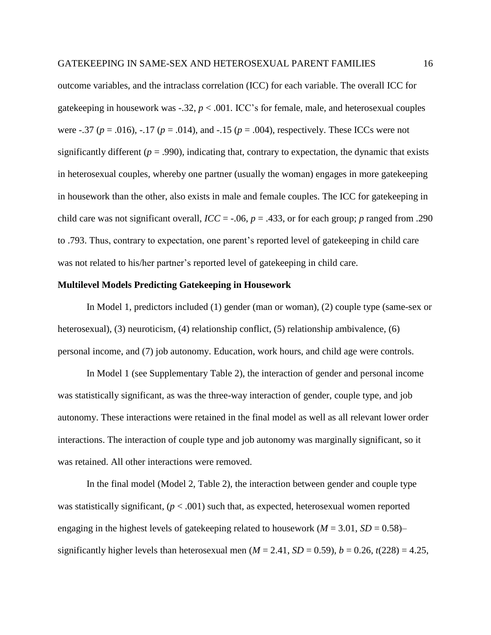outcome variables, and the intraclass correlation (ICC) for each variable. The overall ICC for gatekeeping in housework was -.32, *p* < .001. ICC's for female, male, and heterosexual couples were -.37 (*p* = .016), -.17 (*p* = .014), and -.15 (*p* = .004), respectively. These ICCs were not significantly different ( $p = .990$ ), indicating that, contrary to expectation, the dynamic that exists in heterosexual couples, whereby one partner (usually the woman) engages in more gatekeeping in housework than the other, also exists in male and female couples. The ICC for gatekeeping in child care was not significant overall,  $\text{ICC} = -.06$ ,  $p = .433$ , or for each group; *p* ranged from .290 to .793. Thus, contrary to expectation, one parent's reported level of gatekeeping in child care was not related to his/her partner's reported level of gatekeeping in child care.

# **Multilevel Models Predicting Gatekeeping in Housework**

In Model 1, predictors included (1) gender (man or woman), (2) couple type (same-sex or heterosexual), (3) neuroticism, (4) relationship conflict, (5) relationship ambivalence, (6) personal income, and (7) job autonomy. Education, work hours, and child age were controls.

In Model 1 (see Supplementary Table 2), the interaction of gender and personal income was statistically significant, as was the three-way interaction of gender, couple type, and job autonomy. These interactions were retained in the final model as well as all relevant lower order interactions. The interaction of couple type and job autonomy was marginally significant, so it was retained. All other interactions were removed.

In the final model (Model 2, Table 2), the interaction between gender and couple type was statistically significant,  $(p < .001)$  such that, as expected, heterosexual women reported engaging in the highest levels of gate keeping related to housework ( $M = 3.01$ ,  $SD = 0.58$ ) significantly higher levels than heterosexual men ( $M = 2.41$ ,  $SD = 0.59$ ),  $b = 0.26$ ,  $t(228) = 4.25$ ,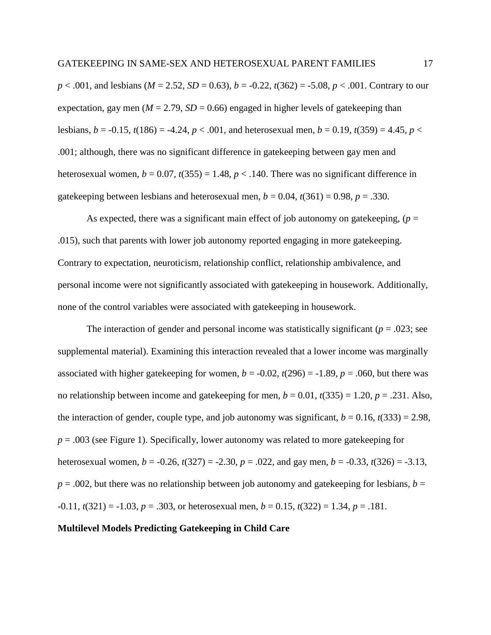*p* < .001, and lesbians (*M* = 2.52, *SD* = 0.63), *b* = -0.22, *t*(362) = -5.08, *p* < .001. Contrary to our expectation, gay men ( $M = 2.79$ ,  $SD = 0.66$ ) engaged in higher levels of gatekeeping than lesbians,  $b = -0.15$ ,  $t(186) = -4.24$ ,  $p < .001$ , and heterosexual men,  $b = 0.19$ ,  $t(359) = 4.45$ ,  $p <$ .001; although, there was no significant difference in gatekeeping between gay men and heterosexual women,  $b = 0.07$ ,  $t(355) = 1.48$ ,  $p < 0.140$ . There was no significant difference in gatekeeping between lesbians and heterosexual men,  $b = 0.04$ ,  $t(361) = 0.98$ ,  $p = .330$ .

As expected, there was a significant main effect of job autonomy on gatekeeping,  $(p =$ .015), such that parents with lower job autonomy reported engaging in more gatekeeping. Contrary to expectation, neuroticism, relationship conflict, relationship ambivalence, and personal income were not significantly associated with gatekeeping in housework. Additionally, none of the control variables were associated with gatekeeping in housework.

The interaction of gender and personal income was statistically significant ( $p = .023$ ; see supplemental material). Examining this interaction revealed that a lower income was marginally associated with higher gatekeeping for women,  $b = -0.02$ ,  $t(296) = -1.89$ ,  $p = .060$ , but there was no relationship between income and gatekeeping for men,  $b = 0.01$ ,  $t(335) = 1.20$ ,  $p = .231$ . Also, the interaction of gender, couple type, and job autonomy was significant,  $b = 0.16$ ,  $t(333) = 2.98$ , *p* = .003 (see Figure 1). Specifically, lower autonomy was related to more gatekeeping for heterosexual women,  $b = -0.26$ ,  $t(327) = -2.30$ ,  $p = .022$ , and gay men,  $b = -0.33$ ,  $t(326) = -3.13$ ,  $p = .002$ , but there was no relationship between job autonomy and gatekeeping for lesbians,  $b =$  $-0.11$ ,  $t(321) = -1.03$ ,  $p = .303$ , or heterosexual men,  $b = 0.15$ ,  $t(322) = 1.34$ ,  $p = .181$ .

**Multilevel Models Predicting Gatekeeping in Child Care**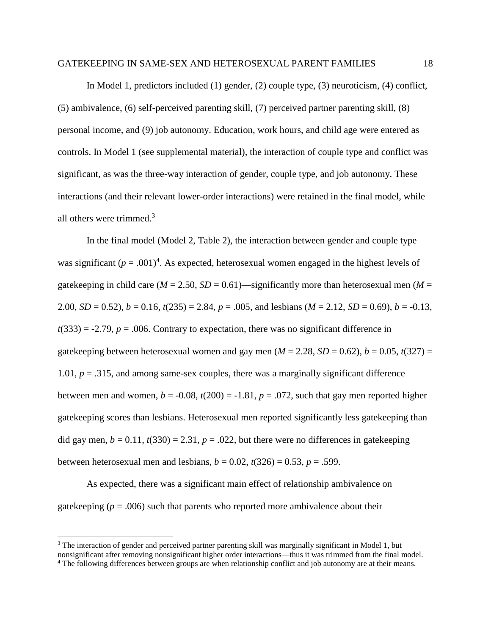In Model 1, predictors included (1) gender, (2) couple type, (3) neuroticism, (4) conflict, (5) ambivalence, (6) self-perceived parenting skill, (7) perceived partner parenting skill, (8) personal income, and (9) job autonomy. Education, work hours, and child age were entered as controls. In Model 1 (see supplemental material), the interaction of couple type and conflict was significant, as was the three-way interaction of gender, couple type, and job autonomy. These interactions (and their relevant lower-order interactions) were retained in the final model, while all others were trimmed. 3

In the final model (Model 2, Table 2), the interaction between gender and couple type was significant  $(p = .001)^4$ . As expected, heterosexual women engaged in the highest levels of gatekeeping in child care ( $M = 2.50$ ,  $SD = 0.61$ )—significantly more than heterosexual men ( $M =$ 2.00,  $SD = 0.52$ ),  $b = 0.16$ ,  $t(235) = 2.84$ ,  $p = .005$ , and lesbians ( $M = 2.12$ ,  $SD = 0.69$ ),  $b = -0.13$ ,  $t(333) = -2.79$ ,  $p = .006$ . Contrary to expectation, there was no significant difference in gatekeeping between heterosexual women and gay men  $(M = 2.28, SD = 0.62), b = 0.05, t(327) =$ 1.01,  $p = 0.315$ , and among same-sex couples, there was a marginally significant difference between men and women,  $b = -0.08$ ,  $t(200) = -1.81$ ,  $p = .072$ , such that gay men reported higher gatekeeping scores than lesbians. Heterosexual men reported significantly less gatekeeping than did gay men,  $b = 0.11$ ,  $t(330) = 2.31$ ,  $p = .022$ , but there were no differences in gatekeeping between heterosexual men and lesbians,  $b = 0.02$ ,  $t(326) = 0.53$ ,  $p = .599$ .

As expected, there was a significant main effect of relationship ambivalence on gatekeeping ( $p = .006$ ) such that parents who reported more ambivalence about their

 $\overline{a}$ 

<sup>&</sup>lt;sup>3</sup> The interaction of gender and perceived partner parenting skill was marginally significant in Model 1, but nonsignificant after removing nonsignificant higher order interactions—thus it was trimmed from the final model. <sup>4</sup> The following differences between groups are when relationship conflict and job autonomy are at their means.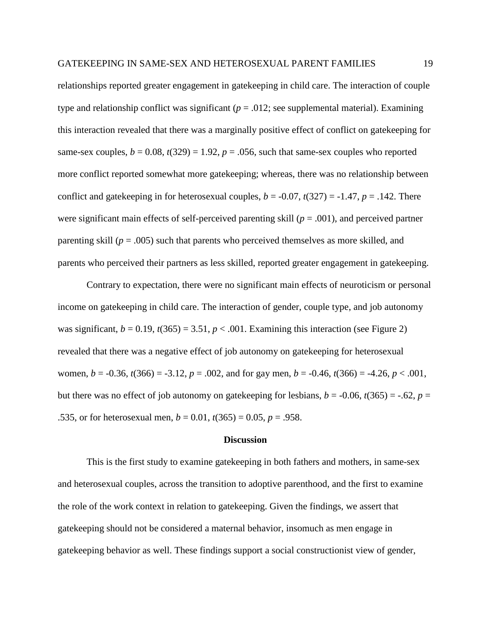relationships reported greater engagement in gatekeeping in child care. The interaction of couple type and relationship conflict was significant ( $p = .012$ ; see supplemental material). Examining this interaction revealed that there was a marginally positive effect of conflict on gatekeeping for same-sex couples,  $b = 0.08$ ,  $t(329) = 1.92$ ,  $p = .056$ , such that same-sex couples who reported more conflict reported somewhat more gatekeeping; whereas, there was no relationship between conflict and gatekeeping in for heterosexual couples,  $b = -0.07$ ,  $t(327) = -1.47$ ,  $p = .142$ . There were significant main effects of self-perceived parenting skill  $(p = .001)$ , and perceived partner parenting skill ( $p = .005$ ) such that parents who perceived themselves as more skilled, and parents who perceived their partners as less skilled, reported greater engagement in gatekeeping.

Contrary to expectation, there were no significant main effects of neuroticism or personal income on gatekeeping in child care. The interaction of gender, couple type, and job autonomy was significant,  $b = 0.19$ ,  $t(365) = 3.51$ ,  $p < .001$ . Examining this interaction (see Figure 2) revealed that there was a negative effect of job autonomy on gatekeeping for heterosexual women,  $b = -0.36$ ,  $t(366) = -3.12$ ,  $p = .002$ , and for gay men,  $b = -0.46$ ,  $t(366) = -4.26$ ,  $p < .001$ , but there was no effect of job autonomy on gate keeping for lesbians,  $b = -0.06$ ,  $t(365) = -.62$ ,  $p =$ .535, or for heterosexual men,  $b = 0.01$ ,  $t(365) = 0.05$ ,  $p = .958$ .

#### **Discussion**

This is the first study to examine gatekeeping in both fathers and mothers, in same-sex and heterosexual couples, across the transition to adoptive parenthood, and the first to examine the role of the work context in relation to gatekeeping. Given the findings, we assert that gatekeeping should not be considered a maternal behavior, insomuch as men engage in gatekeeping behavior as well. These findings support a social constructionist view of gender,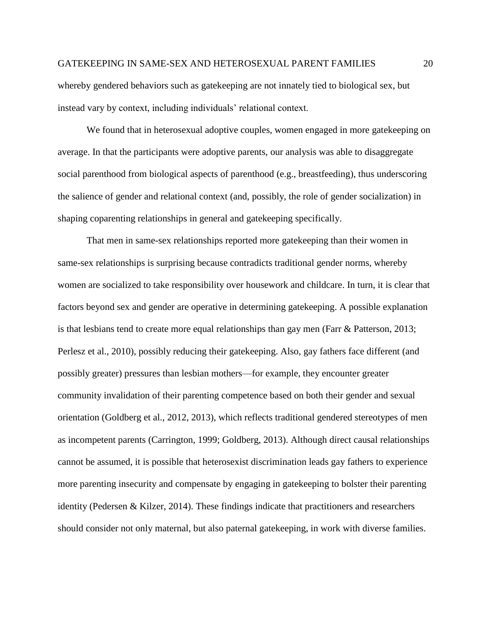whereby gendered behaviors such as gatekeeping are not innately tied to biological sex, but instead vary by context, including individuals' relational context.

We found that in heterosexual adoptive couples, women engaged in more gatekeeping on average. In that the participants were adoptive parents, our analysis was able to disaggregate social parenthood from biological aspects of parenthood (e.g., breastfeeding), thus underscoring the salience of gender and relational context (and, possibly, the role of gender socialization) in shaping coparenting relationships in general and gatekeeping specifically.

That men in same-sex relationships reported more gatekeeping than their women in same-sex relationships is surprising because contradicts traditional gender norms, whereby women are socialized to take responsibility over housework and childcare. In turn, it is clear that factors beyond sex and gender are operative in determining gatekeeping. A possible explanation is that lesbians tend to create more equal relationships than gay men (Farr & Patterson, 2013; Perlesz et al., 2010), possibly reducing their gatekeeping. Also, gay fathers face different (and possibly greater) pressures than lesbian mothers—for example, they encounter greater community invalidation of their parenting competence based on both their gender and sexual orientation (Goldberg et al., 2012, 2013), which reflects traditional gendered stereotypes of men as incompetent parents (Carrington, 1999; Goldberg, 2013). Although direct causal relationships cannot be assumed, it is possible that heterosexist discrimination leads gay fathers to experience more parenting insecurity and compensate by engaging in gatekeeping to bolster their parenting identity (Pedersen & Kilzer, 2014). These findings indicate that practitioners and researchers should consider not only maternal, but also paternal gatekeeping, in work with diverse families.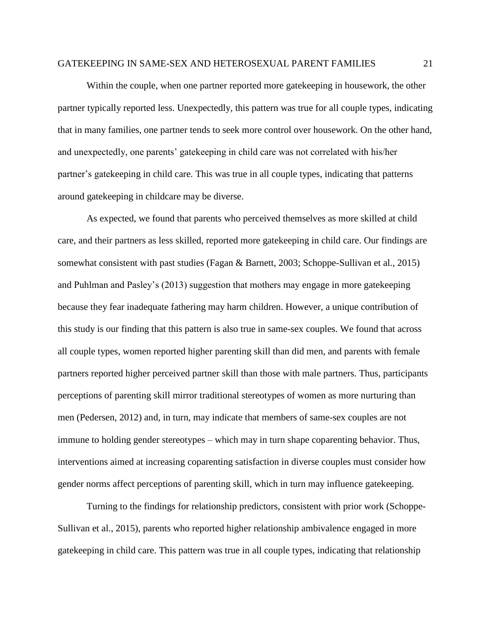Within the couple, when one partner reported more gatekeeping in housework, the other partner typically reported less. Unexpectedly, this pattern was true for all couple types, indicating that in many families, one partner tends to seek more control over housework. On the other hand, and unexpectedly, one parents' gatekeeping in child care was not correlated with his/her partner's gatekeeping in child care. This was true in all couple types, indicating that patterns around gatekeeping in childcare may be diverse.

As expected, we found that parents who perceived themselves as more skilled at child care, and their partners as less skilled, reported more gatekeeping in child care. Our findings are somewhat consistent with past studies (Fagan & Barnett, 2003; Schoppe-Sullivan et al., 2015) and Puhlman and Pasley's (2013) suggestion that mothers may engage in more gatekeeping because they fear inadequate fathering may harm children. However, a unique contribution of this study is our finding that this pattern is also true in same-sex couples. We found that across all couple types, women reported higher parenting skill than did men, and parents with female partners reported higher perceived partner skill than those with male partners. Thus, participants perceptions of parenting skill mirror traditional stereotypes of women as more nurturing than men (Pedersen, 2012) and, in turn, may indicate that members of same-sex couples are not immune to holding gender stereotypes – which may in turn shape coparenting behavior. Thus, interventions aimed at increasing coparenting satisfaction in diverse couples must consider how gender norms affect perceptions of parenting skill, which in turn may influence gatekeeping.

Turning to the findings for relationship predictors, consistent with prior work (Schoppe-Sullivan et al., 2015), parents who reported higher relationship ambivalence engaged in more gatekeeping in child care. This pattern was true in all couple types, indicating that relationship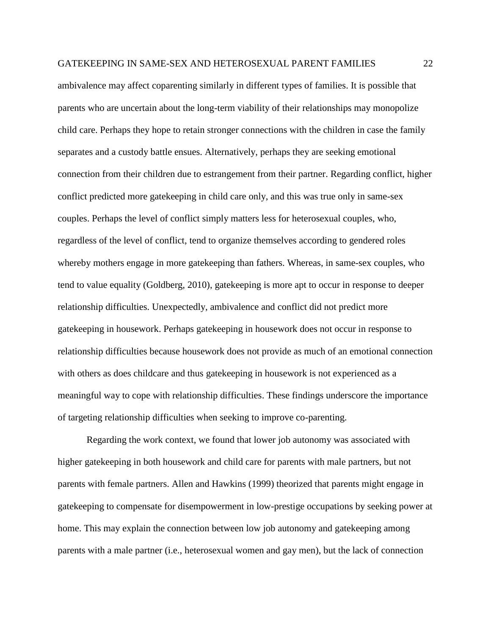ambivalence may affect coparenting similarly in different types of families. It is possible that parents who are uncertain about the long-term viability of their relationships may monopolize child care. Perhaps they hope to retain stronger connections with the children in case the family separates and a custody battle ensues. Alternatively, perhaps they are seeking emotional connection from their children due to estrangement from their partner. Regarding conflict, higher conflict predicted more gatekeeping in child care only, and this was true only in same-sex couples. Perhaps the level of conflict simply matters less for heterosexual couples, who, regardless of the level of conflict, tend to organize themselves according to gendered roles whereby mothers engage in more gatekeeping than fathers. Whereas, in same-sex couples, who tend to value equality (Goldberg, 2010), gatekeeping is more apt to occur in response to deeper relationship difficulties. Unexpectedly, ambivalence and conflict did not predict more gatekeeping in housework. Perhaps gatekeeping in housework does not occur in response to relationship difficulties because housework does not provide as much of an emotional connection with others as does childcare and thus gatekeeping in housework is not experienced as a meaningful way to cope with relationship difficulties. These findings underscore the importance of targeting relationship difficulties when seeking to improve co-parenting.

Regarding the work context, we found that lower job autonomy was associated with higher gatekeeping in both housework and child care for parents with male partners, but not parents with female partners. Allen and Hawkins (1999) theorized that parents might engage in gatekeeping to compensate for disempowerment in low-prestige occupations by seeking power at home. This may explain the connection between low job autonomy and gatekeeping among parents with a male partner (i.e., heterosexual women and gay men), but the lack of connection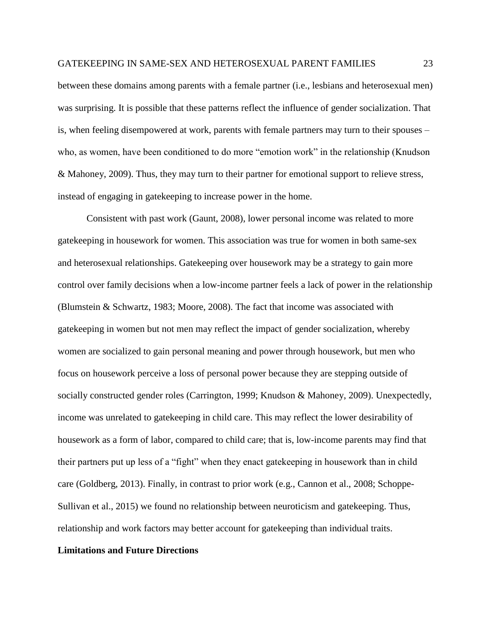between these domains among parents with a female partner (i.e., lesbians and heterosexual men) was surprising. It is possible that these patterns reflect the influence of gender socialization. That is, when feeling disempowered at work, parents with female partners may turn to their spouses – who, as women, have been conditioned to do more "emotion work" in the relationship (Knudson & Mahoney, 2009). Thus, they may turn to their partner for emotional support to relieve stress, instead of engaging in gatekeeping to increase power in the home.

Consistent with past work (Gaunt, 2008), lower personal income was related to more gatekeeping in housework for women. This association was true for women in both same-sex and heterosexual relationships. Gatekeeping over housework may be a strategy to gain more control over family decisions when a low-income partner feels a lack of power in the relationship (Blumstein & Schwartz, 1983; Moore, 2008). The fact that income was associated with gatekeeping in women but not men may reflect the impact of gender socialization, whereby women are socialized to gain personal meaning and power through housework, but men who focus on housework perceive a loss of personal power because they are stepping outside of socially constructed gender roles (Carrington, 1999; Knudson & Mahoney, 2009). Unexpectedly, income was unrelated to gatekeeping in child care. This may reflect the lower desirability of housework as a form of labor, compared to child care; that is, low-income parents may find that their partners put up less of a "fight" when they enact gatekeeping in housework than in child care (Goldberg, 2013). Finally, in contrast to prior work (e.g., Cannon et al., 2008; Schoppe-Sullivan et al., 2015) we found no relationship between neuroticism and gatekeeping. Thus, relationship and work factors may better account for gatekeeping than individual traits.

# **Limitations and Future Directions**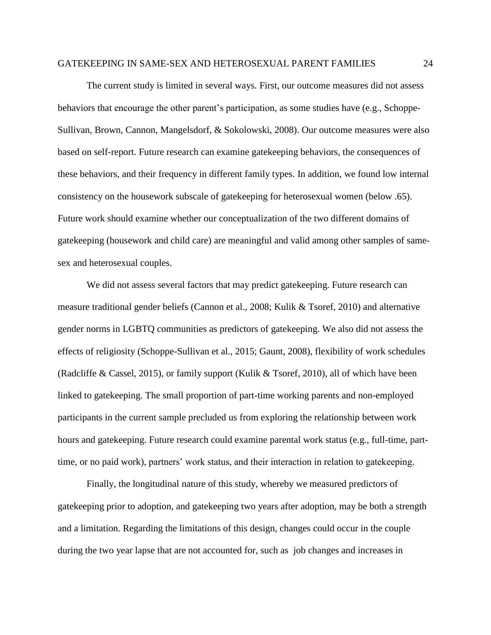The current study is limited in several ways. First, our outcome measures did not assess behaviors that encourage the other parent's participation, as some studies have (e.g., Schoppe-Sullivan, Brown, Cannon, Mangelsdorf, & Sokolowski, 2008). Our outcome measures were also based on self-report. Future research can examine gatekeeping behaviors, the consequences of these behaviors, and their frequency in different family types. In addition, we found low internal consistency on the housework subscale of gatekeeping for heterosexual women (below .65). Future work should examine whether our conceptualization of the two different domains of gatekeeping (housework and child care) are meaningful and valid among other samples of samesex and heterosexual couples.

We did not assess several factors that may predict gatekeeping. Future research can measure traditional gender beliefs (Cannon et al., 2008; Kulik & Tsoref, 2010) and alternative gender norms in LGBTQ communities as predictors of gatekeeping. We also did not assess the effects of religiosity (Schoppe-Sullivan et al., 2015; Gaunt, 2008), flexibility of work schedules (Radcliffe & Cassel, 2015), or family support (Kulik & Tsoref, 2010), all of which have been linked to gatekeeping. The small proportion of part-time working parents and non-employed participants in the current sample precluded us from exploring the relationship between work hours and gatekeeping. Future research could examine parental work status (e.g., full-time, parttime, or no paid work), partners' work status, and their interaction in relation to gatekeeping.

Finally, the longitudinal nature of this study, whereby we measured predictors of gatekeeping prior to adoption, and gatekeeping two years after adoption, may be both a strength and a limitation. Regarding the limitations of this design, changes could occur in the couple during the two year lapse that are not accounted for, such as job changes and increases in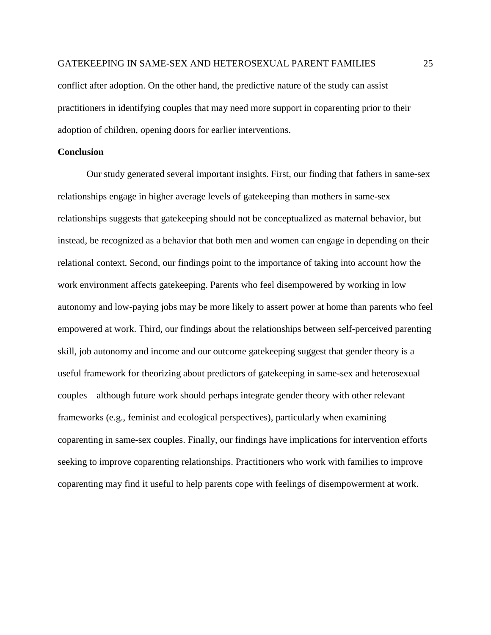conflict after adoption. On the other hand, the predictive nature of the study can assist practitioners in identifying couples that may need more support in coparenting prior to their adoption of children, opening doors for earlier interventions.

# **Conclusion**

Our study generated several important insights. First, our finding that fathers in same-sex relationships engage in higher average levels of gatekeeping than mothers in same-sex relationships suggests that gatekeeping should not be conceptualized as maternal behavior, but instead, be recognized as a behavior that both men and women can engage in depending on their relational context. Second, our findings point to the importance of taking into account how the work environment affects gatekeeping. Parents who feel disempowered by working in low autonomy and low-paying jobs may be more likely to assert power at home than parents who feel empowered at work. Third, our findings about the relationships between self-perceived parenting skill, job autonomy and income and our outcome gatekeeping suggest that gender theory is a useful framework for theorizing about predictors of gatekeeping in same-sex and heterosexual couples—although future work should perhaps integrate gender theory with other relevant frameworks (e.g., feminist and ecological perspectives), particularly when examining coparenting in same-sex couples. Finally, our findings have implications for intervention efforts seeking to improve coparenting relationships. Practitioners who work with families to improve coparenting may find it useful to help parents cope with feelings of disempowerment at work.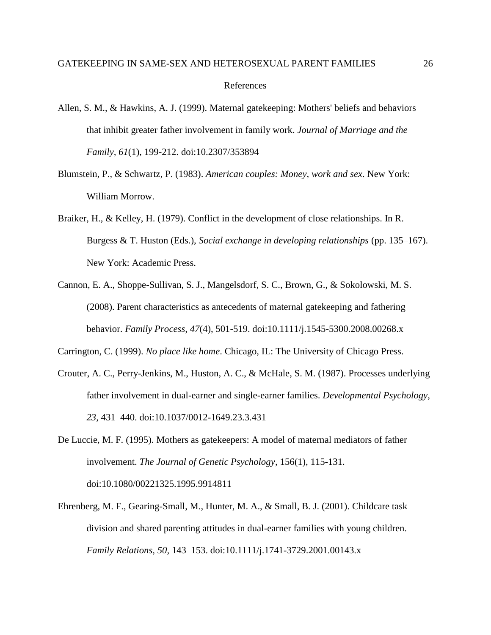- Allen, S. M., & Hawkins, A. J. (1999). Maternal gatekeeping: Mothers' beliefs and behaviors that inhibit greater father involvement in family work. *Journal of Marriage and the Family, 61*(1), 199-212. doi:10.2307/353894
- Blumstein, P., & Schwartz, P. (1983). *American couples: Money, work and sex*. New York: William Morrow.
- Braiker, H., & Kelley, H. (1979). Conflict in the development of close relationships. In R. Burgess & T. Huston (Eds.), *Social exchange in developing relationships* (pp. 135–167). New York: Academic Press.
- Cannon, E. A., Shoppe-Sullivan, S. J., Mangelsdorf, S. C., Brown, G., & Sokolowski, M. S. (2008). [Parent characteristics as antecedents of maternal gatekeeping and fathering](http://goddard40.clarku.edu:2661/ehost/viewarticle?data=dGJyMPPp44rp2%2fdV0%2bnjisfk5Ie46a9Ir62wTLOk63nn5Kx95uXxjL6nr0evqq1KrqeyOK%2bouEq0sK9RnsbLPvLo34bx1%2bGM5%2bXsgeKzq0qvp7BPrqm2UbSc6nns3bt97Jziervm8ZHmnPJ55bO%2fZqTX7FWwpq5Qq6e0Ta%2brq0iuraR%2b7ejrefKz5I3q4vJ99uoA&hid=124)  [behavior.](http://goddard40.clarku.edu:2661/ehost/viewarticle?data=dGJyMPPp44rp2%2fdV0%2bnjisfk5Ie46a9Ir62wTLOk63nn5Kx95uXxjL6nr0evqq1KrqeyOK%2bouEq0sK9RnsbLPvLo34bx1%2bGM5%2bXsgeKzq0qvp7BPrqm2UbSc6nns3bt97Jziervm8ZHmnPJ55bO%2fZqTX7FWwpq5Qq6e0Ta%2brq0iuraR%2b7ejrefKz5I3q4vJ99uoA&hid=124) *Family Process, 47*(4), 501-519. doi:10.1111/j.1545-5300.2008.00268.x

Carrington, C. (1999). *No place like home*. Chicago, IL: The University of Chicago Press.

- Crouter, A. C., Perry-Jenkins, M., Huston, A. C., & McHale, S. M. (1987). Processes underlying father involvement in dual-earner and single-earner families. *Developmental Psychology*, *23,* 431–440. doi:10.1037/0012-1649.23.3.431
- De Luccie, M. F. (1995). Mothers as gatekeepers: A model of maternal mediators of father involvement. *[The Journal of Genetic Psychology,](http://goddard40.clarku.edu:2873/pubidlinkhandler/sng/pubtitle/The+Journal+of+Genetic+Psychology/$N/34448/DocView/228461205/fulltext/9C96E76BFA554136PQ/1?accountid=10152)* 156(1), 115-131. doi[:10.1080/00221325.1995.9914811](http://goddard40.clarku.edu:3013/10.1080/00221325.1995.9914811)
- Ehrenberg, M. F., Gearing-Small, M., Hunter, M. A., & Small, B. J. (2001). Childcare task division and shared parenting attitudes in dual-earner families with young children. *Family Relations, 50,* 143–153. doi:10.1111/j.1741-3729.2001.00143.x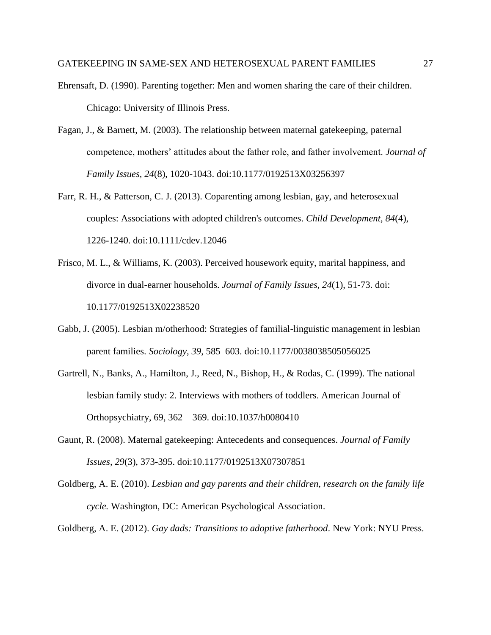- Ehrensaft, D. (1990). Parenting together: Men and women sharing the care of their children. Chicago: University of Illinois Press.
- Fagan, J., & Barnett, M. (2003). The relationship between maternal gatekeeping, paternal competence, mothers' attitudes about the father role, and father involvement. *Journal of Family Issues, 24*(8), 1020-1043. doi:10.1177/0192513X03256397
- Farr, R. H., & Patterson, C. J. (2013). Coparenting among lesbian, gay, and heterosexual couples: Associations with adopted children's outcomes. *Child Development, 84*(4), 1226-1240. doi:10.1111/cdev.12046
- Frisco, M. L., & Williams, K. (2003). Perceived housework equity, marital happiness, and divorce in dual-earner households. *Journal of Family Issues, 24*(1), 51-73. doi: 10.1177/0192513X02238520
- Gabb, J. (2005). Lesbian m/otherhood: Strategies of familial-linguistic management in lesbian parent families. *Sociology*, *39*, 585–603. doi:10.1177/0038038505056025
- Gartrell, N., Banks, A., Hamilton, J., Reed, N., Bishop, H., & Rodas, C. (1999). The national lesbian family study: 2. Interviews with mothers of toddlers. American Journal of Orthopsychiatry, 69, 362 – 369. doi:10.1037/h0080410
- Gaunt, R. (2008). [Maternal gatekeeping: Antecedents and consequences.](http://goddard40.clarku.edu:2661/ehost/viewarticle?data=dGJyMPPp44rp2%2fdV0%2bnjisfk5Ie46a9Ir62wTLOk63nn5Kx95uXxjL6nr0evqq1KrqeyOK%2bouEq0sK9RnsbLPvLo34bx1%2bGM5%2bXsgeKzq0qvp7BPrqm2UbSc6nns3bt97Jziervm8ZHmnPJ55bO%2fZqTX7FWwpq5Qq6avUbauq0iuq6R%2b7ejrefKz5I3q4vJ99uoA&hid=124) *Journal of Family Issues, 29*(3), 373-395. doi:10.1177/0192513X07307851
- Goldberg, A. E. (2010). *Lesbian and gay parents and their children, research on the family life cycle.* Washington, DC: American Psychological Association.

Goldberg, A. E. (2012). *Gay dads: Transitions to adoptive fatherhood*. New York: NYU Press.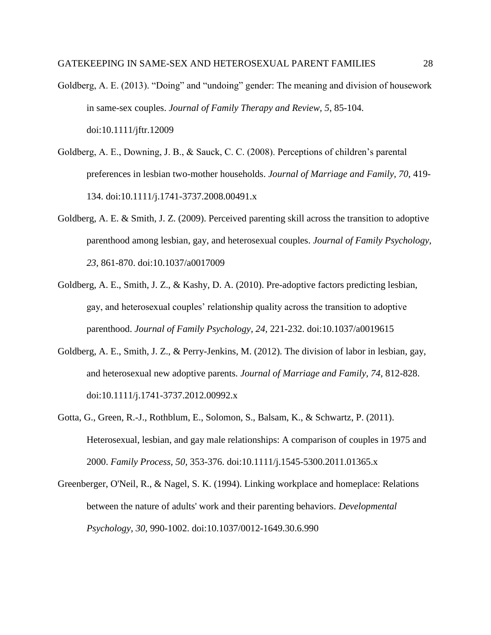- Goldberg, A. E. (2013). "Doing" and "undoing" gender: The meaning and division of housework in same-sex couples. *Journal of Family Therapy and Review, 5*, 85-104. doi:10.1111/jftr.12009
- Goldberg, A. E., Downing, J. B., & Sauck, C. C. (2008). Perceptions of children's parental preferences in lesbian two-mother households. *Journal of Marriage and Family, 70*, 419- 134. doi:10.1111/j.1741-3737.2008.00491.x
- Goldberg, A. E. & Smith, J. Z. (2009). Perceived parenting skill across the transition to adoptive parenthood among lesbian, gay, and heterosexual couples. *Journal of Family Psychology, 23*, 861-870. doi:10.1037/a0017009
- Goldberg, A. E., Smith, J. Z., & Kashy, D. A. (2010). Pre-adoptive factors predicting lesbian, gay, and heterosexual couples' relationship quality across the transition to adoptive parenthood. *Journal of Family Psychology, 24,* 221-232. doi:10.1037/a0019615
- Goldberg, A. E., Smith, J. Z., & Perry-Jenkins, M. (2012). The division of labor in lesbian, gay, and heterosexual new adoptive parents. *Journal of Marriage and Family, 74*, 812-828. doi:10.1111/j.1741-3737.2012.00992.x
- Gotta, G., Green, R.-J., Rothblum, E., Solomon, S., Balsam, K., & Schwartz, P. (2011). Heterosexual, lesbian, and gay male relationships: A comparison of couples in 1975 and 2000. *Family Process, 50*, 353-376. doi:10.1111/j.1545-5300.2011.01365.x
- Greenberger, O'Neil, R., & Nagel, S. K. (1994). Linking workplace and homeplace: Relations between the nature of adults' work and their parenting behaviors. *Developmental Psychology, 30*, 990-1002. doi:10.1037/0012-1649.30.6.990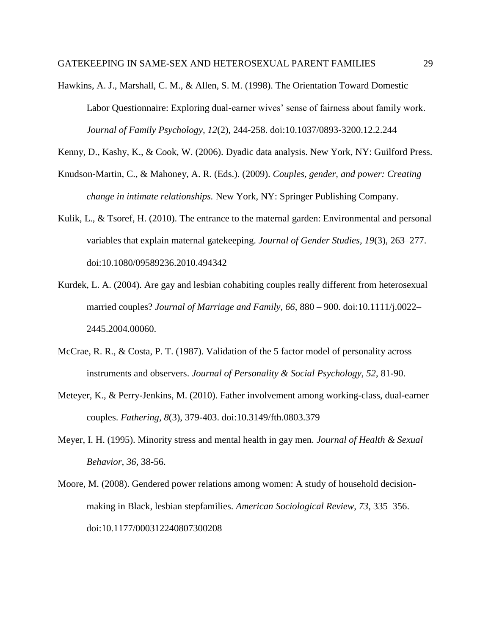Hawkins, A. J., Marshall, C. M., & Allen, S. M. (1998). The Orientation Toward Domestic Labor Questionnaire: Exploring dual-earner wives' sense of fairness about family work. *Journal of Family Psychology, 12*(2), 244-258. doi:10.1037/0893-3200.12.2.244

Kenny, D., Kashy, K., & Cook, W. (2006). Dyadic data analysis. New York, NY: Guilford Press.

- Knudson-Martin, C., & Mahoney, A. R. (Eds.). (2009). *Couples, gender, and power: Creating change in intimate relationships.* New York, NY: Springer Publishing Company.
- Kulik, L., & Tsoref, H. (2010). The entrance to the maternal garden: Environmental and personal variables that explain maternal gatekeeping. *Journal of Gender Studies, 19*(3), 263–277. doi:10.1080/09589236.2010.494342
- Kurdek, L. A. (2004). Are gay and lesbian cohabiting couples really different from heterosexual married couples? *Journal of Marriage and Family, 66*, 880 – 900. doi:10.1111/j.0022– 2445.2004.00060.
- McCrae, R. R., & Costa, P. T. (1987). Validation of the 5 factor model of personality across instruments and observers. *Journal of Personality & Social Psychology, 52*, 81-90.
- Meteyer, K., & Perry-Jenkins, M. (2010). [Father involvement among working-class, dual-earner](http://goddard40.clarku.edu:2661/ehost/viewarticle?data=dGJyMPPp44rp2%2fdV0%2bnjisfk5Ie46a9Ir62wTLOk63nn5Kx95uXxjL6nr0evqq1KrqeyOK%2bouEq0sK9RnsbLPvLo34bx1%2bGM5%2bXsgeKzq0qvp7BPrqm2UbSc6nns3bt97Jziervm8ZHmnPJ55bO%2fZqTX7FWwpq9Iq6ixULCnq0iuraR%2b7ejrefKz5I3q4vJ99uoA&hid=124)  [couples.](http://goddard40.clarku.edu:2661/ehost/viewarticle?data=dGJyMPPp44rp2%2fdV0%2bnjisfk5Ie46a9Ir62wTLOk63nn5Kx95uXxjL6nr0evqq1KrqeyOK%2bouEq0sK9RnsbLPvLo34bx1%2bGM5%2bXsgeKzq0qvp7BPrqm2UbSc6nns3bt97Jziervm8ZHmnPJ55bO%2fZqTX7FWwpq9Iq6ixULCnq0iuraR%2b7ejrefKz5I3q4vJ99uoA&hid=124) *Fathering, 8*(3), 379-403. doi:10.3149/fth.0803.379
- Meyer, I. H. (1995). Minority stress and mental health in gay men. *Journal of Health & Sexual Behavior, 36*, 38-56.
- Moore, M. (2008). Gendered power relations among women: A study of household decisionmaking in Black, lesbian stepfamilies. *American Sociological Review*, *73*, 335–356. doi:10.1177/000312240807300208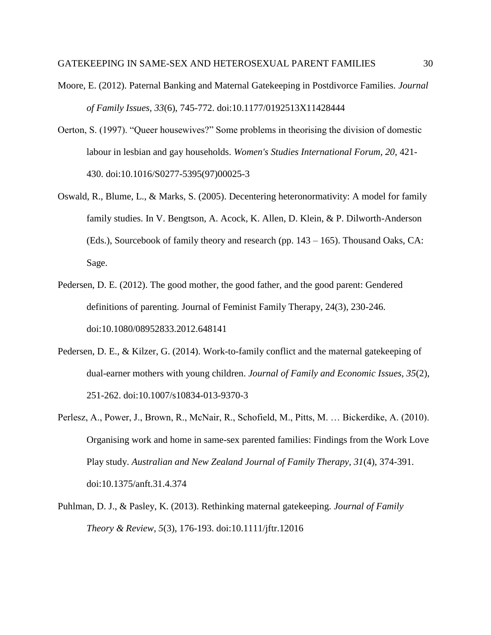- Moore, E. (2012). Paternal Banking and Maternal Gatekeeping in Postdivorce Families. *Journal of Family Issues, 33*(6), 745-772. doi:10.1177/0192513X11428444
- Oerton, S. (1997). "Queer housewives?" Some problems in theorising the division of domestic labour in lesbian and gay households. *Women's Studies International Forum, 20*, 421- 430. doi:10.1016/S0277-5395(97)00025-3
- Oswald, R., Blume, L., & Marks, S. (2005). Decentering heteronormativity: A model for family family studies. In V. Bengtson, A. Acock, K. Allen, D. Klein, & P. Dilworth-Anderson (Eds.), Sourcebook of family theory and research (pp. 143 – 165). Thousand Oaks, CA: Sage.
- Pedersen, D. E. (2012). The good mother, the good father, and the good parent: Gendered definitions of parenting. Journal of Feminist Family Therapy, 24(3), 230-246. doi:10.1080/08952833.2012.648141
- Pedersen, D. E., & Kilzer, G. (2014). Work-to-family conflict and the maternal gatekeeping of dual-earner mothers with young children. *Journal of Family and Economic Issues, 35*(2), 251-262. doi:10.1007/s10834-013-9370-3
- Perlesz, A., Power, J., Brown, R., McNair, R., Schofield, M., Pitts, M. … Bickerdike, A. (2010). Organising work and home in same-sex parented families: Findings from the Work Love Play study. *Australian and New Zealand Journal of Family Therapy, 31*(4), 374-391. doi:10.1375/anft.31.4.374
- Puhlman, D. J., & Pasley, K. (2013). Rethinking maternal gatekeeping*. Journal of Family Theory & Review, 5*(3), 176-193. doi:10.1111/jftr.12016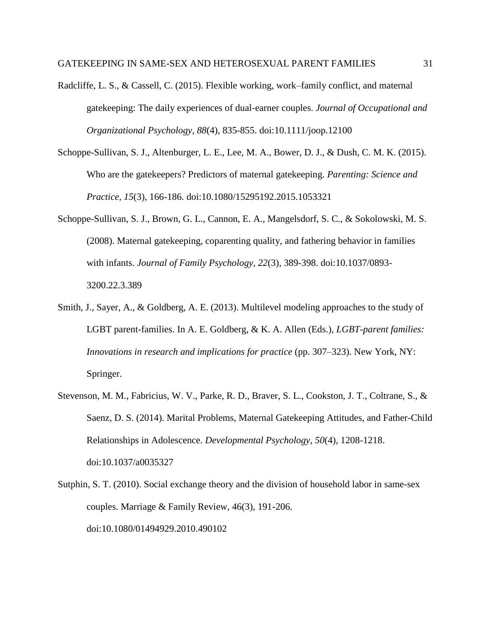- Radcliffe, L. S., & Cassell, C. (2015). Flexible working, work–family conflict, and maternal gatekeeping: The daily experiences of dual‐earner couples. *Journal of Occupational and Organizational Psychology, 88*(4), 835-855. doi:10.1111/joop.12100
- Schoppe-Sullivan, S. J., Altenburger, L. E., Lee, M. A., Bower, D. J., & Dush, C. M. K. (2015). Who are the gatekeepers? Predictors of maternal gatekeeping. *Parenting: Science and Practice, 15*(3), 166-186. doi:10.1080/15295192.2015.1053321
- Schoppe-Sullivan, S. J., Brown, G. L., Cannon, E. A., Mangelsdorf, S. C., & Sokolowski, M. S. (2008). [Maternal gatekeeping, coparenting quality, and fathering behavior in families](http://goddard40.clarku.edu:2661/ehost/viewarticle?data=dGJyMPPp44rp2%2fdV0%2bnjisfk5Ie46a9Ir62wTLOk63nn5Kx95uXxjL6nr0evqq1KrqeyOK%2bouEq0sK9RnsbLPvLo34bx1%2bGM5%2bXsgeKzq0qvp7BPrqm2UbSc6nns3bt97Jziervm8ZHmnPJ55bO%2fZqTX7FWwpq5Qq6a0UK6tq0iurKR%2b7ejrefKz5I3q4vJ99uoA&hid=124)  [with infants.](http://goddard40.clarku.edu:2661/ehost/viewarticle?data=dGJyMPPp44rp2%2fdV0%2bnjisfk5Ie46a9Ir62wTLOk63nn5Kx95uXxjL6nr0evqq1KrqeyOK%2bouEq0sK9RnsbLPvLo34bx1%2bGM5%2bXsgeKzq0qvp7BPrqm2UbSc6nns3bt97Jziervm8ZHmnPJ55bO%2fZqTX7FWwpq5Qq6a0UK6tq0iurKR%2b7ejrefKz5I3q4vJ99uoA&hid=124) *Journal of Family Psychology, 22*(3), 389-398. doi:10.1037/0893- 3200.22.3.389
- Smith, J., Sayer, A., & Goldberg, A. E. (2013). Multilevel modeling approaches to the study of LGBT parent-families. In A. E. Goldberg, & K. A. Allen (Eds.), *LGBT-parent families: Innovations in research and implications for practice* (pp. 307–323). New York, NY: Springer.
- Stevenson, M. M., Fabricius, W. V., Parke, R. D., Braver, S. L., Cookston, J. T., Coltrane, S., & Saenz, D. S. (2014). [Marital Problems, Maternal Gatekeeping Attitudes, and Father-Child](http://goddard40.clarku.edu:2661/ehost/viewarticle?data=dGJyMPPp44rp2%2fdV0%2bnjisfk5Ie46a9Ir62wTLOk63nn5Kx95uXxjL6nr0evqq1KrqeyOK%2bouEq0sK9RnsbLPvLo34bx1%2bGM5%2bXsgeKzq0qvp7BPrqm2UbSc6nns3bt97Jziervp8Xmk6t9%2fu7fMPt%2fku1GzqbdLtqq2PuTl8IXf6rt%2b8%2bLqjOPu8gAA&hid=124)  [Relationships in Adolescence.](http://goddard40.clarku.edu:2661/ehost/viewarticle?data=dGJyMPPp44rp2%2fdV0%2bnjisfk5Ie46a9Ir62wTLOk63nn5Kx95uXxjL6nr0evqq1KrqeyOK%2bouEq0sK9RnsbLPvLo34bx1%2bGM5%2bXsgeKzq0qvp7BPrqm2UbSc6nns3bt97Jziervp8Xmk6t9%2fu7fMPt%2fku1GzqbdLtqq2PuTl8IXf6rt%2b8%2bLqjOPu8gAA&hid=124) *Developmental Psychology, 50*(4), 1208-1218. doi:10.1037/a0035327
- Sutphin, S. T. (2010). Social exchange theory and the division of household labor in same-sex couples. Marriage & Family Review, 46(3), 191-206. doi:10.1080/01494929.2010.490102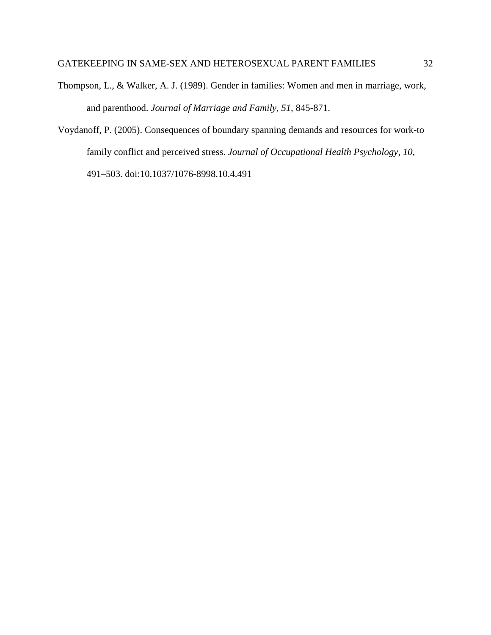- Thompson, L., & Walker, A. J. (1989). Gender in families: Women and men in marriage, work, and parenthood. *Journal of Marriage and Family, 51,* 845-871.
- Voydanoff, P. (2005). Consequences of boundary spanning demands and resources for work-to family conflict and perceived stress. *Journal of Occupational Health Psychology*, *10*, 491–503. doi:10.1037/1076-8998.10.4.491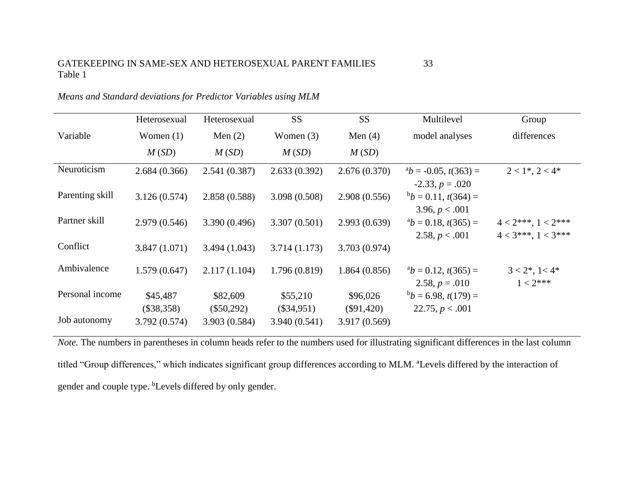|                 | Heterosexual             | Heterosexual             | <b>SS</b>                | <b>SS</b>                | Multilevel                                        | Group                                              |
|-----------------|--------------------------|--------------------------|--------------------------|--------------------------|---------------------------------------------------|----------------------------------------------------|
| Variable        | Women $(1)$              | Men $(2)$                | Women $(3)$              | Men $(4)$                | model analyses                                    | differences                                        |
|                 | M(SD)                    | M(SD)                    | M(SD)                    | M(SD)                    |                                                   |                                                    |
| Neuroticism     | 2.684(0.366)             | 2.541(0.387)             | 2.633(0.392)             | 2.676(0.370)             | $b^a b = -0.05$ , $t(363) =$<br>$-2.33, p = .020$ | $2 < 1^*, 2 < 4^*$                                 |
| Parenting skill | 3.126(0.574)             | 2.858 (0.588)            | 3.098(0.508)             | 2.908(0.556)             | $b_b = 0.11$ , $t(364) =$<br>3.96, $p < .001$     |                                                    |
| Partner skill   | 2.979(0.546)             | 3.390 (0.496)            | 3.307(0.501)             | 2.993(0.639)             | $b = 0.18$ , $t(365) =$<br>2.58, $p < .001$       | $4 < 2***$ , $1 < 2***$<br>$4 < 3***$ , $1 < 3***$ |
| Conflict        | 3.847(1.071)             | 3.494(1.043)             | 3.714(1.173)             | 3.703 (0.974)            |                                                   |                                                    |
| Ambivalence     | 1.579(0.647)             | 2.117(1.104)             | 1.796(0.819)             | 1.864(0.856)             | $b = 0.12$ , $t(365) =$<br>2.58, $p = .010$       | $3 < 2^*, 1 < 4^*$<br>$1 < 2***$                   |
| Personal income | \$45,487<br>$(\$38,358)$ | \$82,609<br>$(\$50,292)$ | \$55,210<br>$(\$34,951)$ | \$96,026<br>$(\$91,420)$ | $b_b = 6.98$ , $t(179) =$<br>22.75, $p < .001$    |                                                    |
| Job autonomy    | 3.792 (0.574)            | 3.903 (0.584)            | 3.940(0.541)             | 3.917 (0.569)            |                                                   |                                                    |

*Means and Standard deviations for Predictor Variables using MLM*

*Note*. The numbers in parentheses in column heads refer to the numbers used for illustrating significant differences in the last column titled "Group differences," which indicates significant group differences according to MLM. <sup>a</sup>Levels differed by the interaction of gender and couple type. <sup>b</sup>Levels differed by only gender.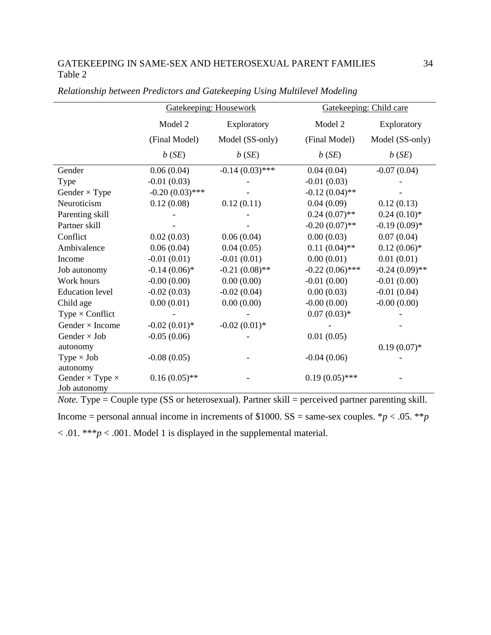|                               |                   | <b>Gatekeeping: Housework</b> | Gatekeeping: Child care |                  |  |
|-------------------------------|-------------------|-------------------------------|-------------------------|------------------|--|
|                               | Model 2           | Exploratory                   | Model 2                 | Exploratory      |  |
|                               | (Final Model)     | Model (SS-only)               | (Final Model)           | Model (SS-only)  |  |
|                               | b(SE)             | b(SE)                         | b(SE)                   | b(SE)            |  |
| Gender                        | 0.06(0.04)        | $-0.14(0.03)$ ***             | 0.04(0.04)              | $-0.07(0.04)$    |  |
| Type                          | $-0.01(0.03)$     |                               | $-0.01(0.03)$           |                  |  |
| Gender $\times$ Type          | $-0.20(0.03)$ *** |                               | $-0.12(0.04)$ **        |                  |  |
| Neuroticism                   | 0.12(0.08)        | 0.12(0.11)                    | 0.04(0.09)              | 0.12(0.13)       |  |
| Parenting skill               |                   |                               | $0.24(0.07)$ **         | $0.24(0.10)*$    |  |
| Partner skill                 |                   |                               | $-0.20(0.07)$ **        | $-0.19(0.09)*$   |  |
| Conflict                      | 0.02(0.03)        | 0.06(0.04)                    | 0.00(0.03)              | 0.07(0.04)       |  |
| Ambivalence                   | 0.06(0.04)        | 0.04(0.05)                    | $0.11(0.04)$ **         | $0.12(0.06)*$    |  |
| Income                        | $-0.01(0.01)$     | $-0.01(0.01)$                 | 0.00(0.01)              | 0.01(0.01)       |  |
| Job autonomy                  | $-0.14(0.06)*$    | $-0.21(0.08)$ **              | $-0.22(0.06)$ ***       | $-0.24(0.09)$ ** |  |
| Work hours                    | $-0.00(0.00)$     | 0.00(0.00)                    | $-0.01(0.00)$           | $-0.01(0.00)$    |  |
| <b>Education level</b>        | $-0.02(0.03)$     | $-0.02(0.04)$                 | 0.00(0.03)              | $-0.01(0.04)$    |  |
| Child age                     | 0.00(0.01)        | 0.00(0.00)                    | $-0.00(0.00)$           | $-0.00(0.00)$    |  |
| Type $\times$ Conflict        |                   |                               | $0.07(0.03)*$           |                  |  |
| Gender $\times$ Income        | $-0.02(0.01)$ *   | $-0.02(0.01)$ *               |                         |                  |  |
| Gender $\times$ Job           | $-0.05(0.06)$     |                               | 0.01(0.05)              |                  |  |
| autonomy                      |                   |                               |                         | $0.19(0.07)$ *   |  |
| Type $\times$ Job             | $-0.08(0.05)$     |                               | $-0.04(0.06)$           |                  |  |
| autonomy                      |                   |                               |                         |                  |  |
| Gender $\times$ Type $\times$ | $0.16(0.05)$ **   |                               | $0.19(0.05)$ ***        |                  |  |
| Job autonomy                  |                   |                               |                         |                  |  |

| Relationship between Predictors and Gatekeeping Using Multilevel Modeling |  |  |  |  |  |  |
|---------------------------------------------------------------------------|--|--|--|--|--|--|
|---------------------------------------------------------------------------|--|--|--|--|--|--|

*Note.* Type = Couple type (SS or heterosexual). Partner skill = perceived partner parenting skill. Income = personal annual income in increments of  $$1000$ . SS = same-sex couples. \**p* < .05. \*\**p*  $< .01.$  \*\*\* $p < .001$ . Model 1 is displayed in the supplemental material.